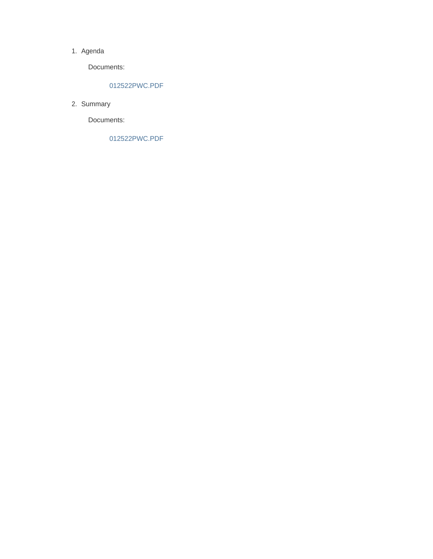#### 1. Agenda

Documents:

#### 012522PWC.PDF

2. Summary

Documents:

012522PWC.PDF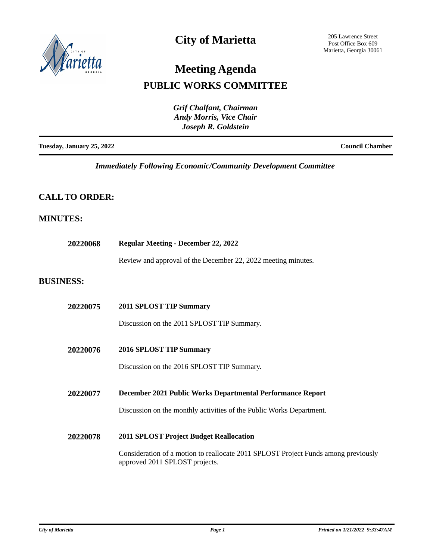

## **City of Marietta**

205 Lawrence Street Post Office Box 609 Marietta, Georgia 30061

# **Meeting Agenda**

### **PUBLIC WORKS COMMITTEE**

|                           | <b>Grif Chalfant, Chairman</b><br><b>Andy Morris, Vice Chair</b><br>Joseph R. Goldstein |                        |
|---------------------------|-----------------------------------------------------------------------------------------|------------------------|
| Tuesday, January 25, 2022 |                                                                                         | <b>Council Chamber</b> |

*Immediately Following Economic/Community Development Committee*

### **CALL TO ORDER:**

#### **MINUTES:**

| 20220068         | <b>Regular Meeting - December 22, 2022</b>                                                                           |  |
|------------------|----------------------------------------------------------------------------------------------------------------------|--|
|                  | Review and approval of the December 22, 2022 meeting minutes.                                                        |  |
| <b>BUSINESS:</b> |                                                                                                                      |  |
| 20220075         | <b>2011 SPLOST TIP Summary</b>                                                                                       |  |
|                  | Discussion on the 2011 SPLOST TIP Summary.                                                                           |  |
| 20220076         | 2016 SPLOST TIP Summary                                                                                              |  |
|                  | Discussion on the 2016 SPLOST TIP Summary.                                                                           |  |
| 20220077         | December 2021 Public Works Departmental Performance Report                                                           |  |
|                  | Discussion on the monthly activities of the Public Works Department.                                                 |  |
| 20220078         | <b>2011 SPLOST Project Budget Reallocation</b>                                                                       |  |
|                  | Consideration of a motion to reallocate 2011 SPLOST Project Funds among previously<br>approved 2011 SPLOST projects. |  |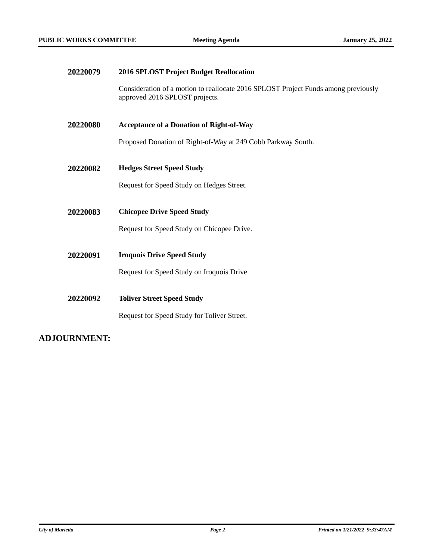| 20220079 | 2016 SPLOST Project Budget Reallocation                                                                              |
|----------|----------------------------------------------------------------------------------------------------------------------|
|          | Consideration of a motion to reallocate 2016 SPLOST Project Funds among previously<br>approved 2016 SPLOST projects. |
| 20220080 | <b>Acceptance of a Donation of Right-of-Way</b>                                                                      |
|          | Proposed Donation of Right-of-Way at 249 Cobb Parkway South.                                                         |
| 20220082 | <b>Hedges Street Speed Study</b>                                                                                     |
|          | Request for Speed Study on Hedges Street.                                                                            |
| 20220083 | <b>Chicopee Drive Speed Study</b>                                                                                    |
|          | Request for Speed Study on Chicopee Drive.                                                                           |
| 20220091 | <b>Iroquois Drive Speed Study</b>                                                                                    |
|          | Request for Speed Study on Iroquois Drive                                                                            |
| 20220092 | <b>Toliver Street Speed Study</b>                                                                                    |
|          | Request for Speed Study for Toliver Street.                                                                          |

### **ADJOURNMENT:**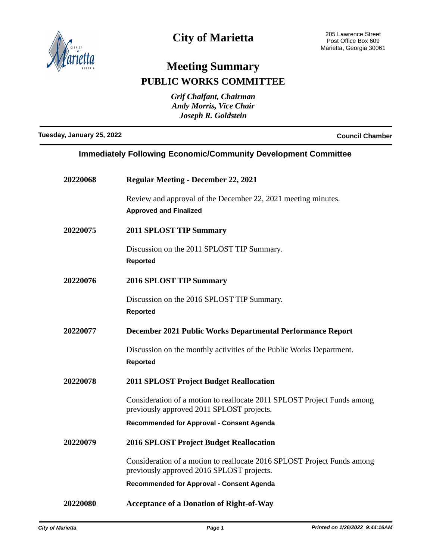

## **City of Marietta**

# **Meeting Summary PUBLIC WORKS COMMITTEE**

*Grif Chalfant, Chairman Andy Morris, Vice Chair Joseph R. Goldstein*

**Tuesday, January 25, 2022 Council Chamber**

#### **Immediately Following Economic/Community Development Committee**

| 20220068 | <b>Regular Meeting - December 22, 2021</b>                                                                           |
|----------|----------------------------------------------------------------------------------------------------------------------|
|          | Review and approval of the December 22, 2021 meeting minutes.<br><b>Approved and Finalized</b>                       |
| 20220075 | <b>2011 SPLOST TIP Summary</b>                                                                                       |
|          | Discussion on the 2011 SPLOST TIP Summary.<br><b>Reported</b>                                                        |
| 20220076 | 2016 SPLOST TIP Summary                                                                                              |
|          | Discussion on the 2016 SPLOST TIP Summary.<br><b>Reported</b>                                                        |
| 20220077 | December 2021 Public Works Departmental Performance Report                                                           |
|          | Discussion on the monthly activities of the Public Works Department.<br><b>Reported</b>                              |
| 20220078 | <b>2011 SPLOST Project Budget Reallocation</b>                                                                       |
|          | Consideration of a motion to reallocate 2011 SPLOST Project Funds among<br>previously approved 2011 SPLOST projects. |
|          | <b>Recommended for Approval - Consent Agenda</b>                                                                     |
| 20220079 | <b>2016 SPLOST Project Budget Reallocation</b>                                                                       |
|          | Consideration of a motion to reallocate 2016 SPLOST Project Funds among<br>previously approved 2016 SPLOST projects. |
|          | <b>Recommended for Approval - Consent Agenda</b>                                                                     |
| 20220080 | <b>Acceptance of a Donation of Right-of-Way</b>                                                                      |